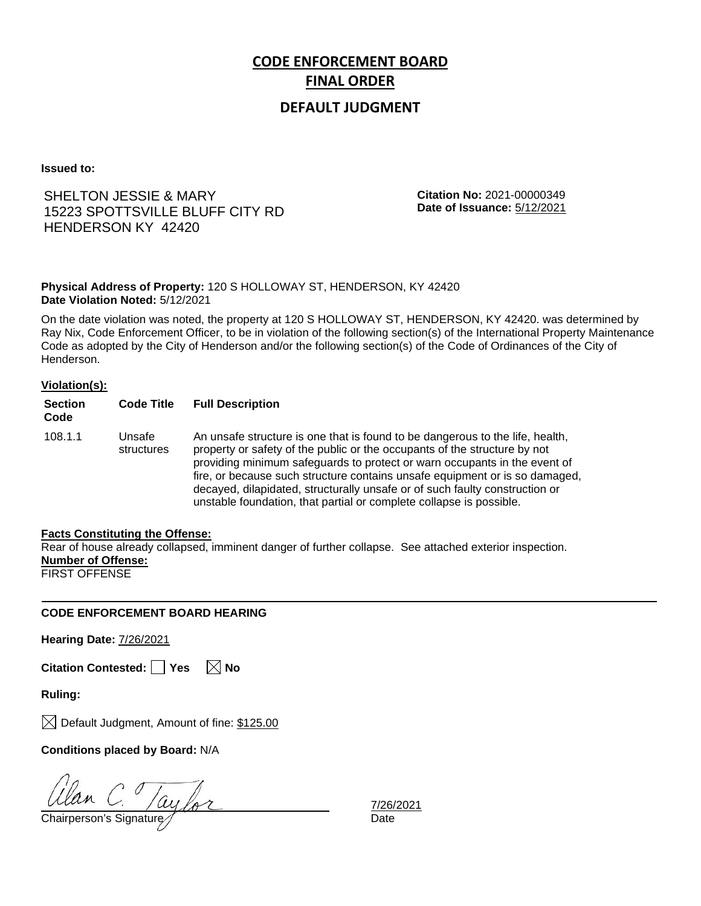## **CODE ENFORCEMENT BOARD FINAL ORDER**

### **DEFAULT JUDGMENT**

**Issued to:**

## SHELTON JESSIE & MARY 15223 SPOTTSVILLE BLUFF CITY RD HENDERSON KY 42420

**Citation No:** 2021-00000349 **Date of Issuance:** 5/12/2021

#### **Physical Address of Property:** 120 S HOLLOWAY ST, HENDERSON, KY 42420 **Date Violation Noted:** 5/12/2021

On the date violation was noted, the property at 120 S HOLLOWAY ST, HENDERSON, KY 42420. was determined by Ray Nix, Code Enforcement Officer, to be in violation of the following section(s) of the International Property Maintenance Code as adopted by the City of Henderson and/or the following section(s) of the Code of Ordinances of the City of Henderson.

#### **Violation(s):**

| <b>Section</b><br>Code | <b>Code Title</b>    | <b>Full Description</b>                                                                                                                                                                                                                                                                                                                                                                                                                                                      |
|------------------------|----------------------|------------------------------------------------------------------------------------------------------------------------------------------------------------------------------------------------------------------------------------------------------------------------------------------------------------------------------------------------------------------------------------------------------------------------------------------------------------------------------|
| 108.1.1                | Unsafe<br>structures | An unsafe structure is one that is found to be dangerous to the life, health,<br>property or safety of the public or the occupants of the structure by not<br>providing minimum safeguards to protect or warn occupants in the event of<br>fire, or because such structure contains unsafe equipment or is so damaged,<br>decayed, dilapidated, structurally unsafe or of such faulty construction or<br>unstable foundation, that partial or complete collapse is possible. |

#### **Facts Constituting the Offense:**

Rear of house already collapsed, imminent danger of further collapse. See attached exterior inspection. **Number of Offense:** FIRST OFFENSE

#### **CODE ENFORCEMENT BOARD HEARING**

**Hearing Date:** 7/26/2021

**Citation Contested:** □ Yes ⊠ No

**Ruling:**

 $\boxtimes$  Default Judgment, Amount of fine: \$125.00

**Conditions placed by Board:** N/A

C. / ay for

7/26/2021<br>Date